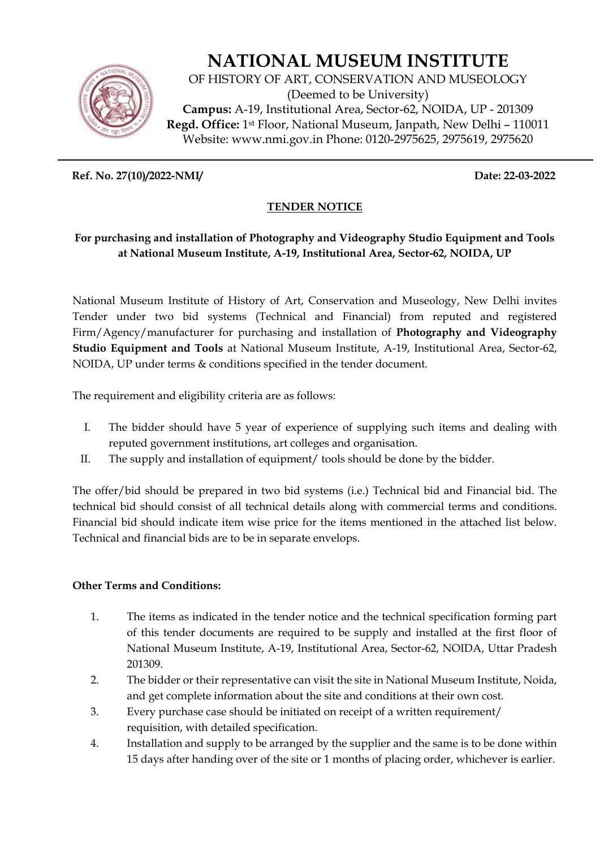

# **NATIONAL MUSEUM INSTITUTE**

OF HISTORY OF ART, CONSERVATION AND MUSEOLOGY (Deemed to be University) **Campus:** A-19, Institutional Area, Sector-62, NOIDA, UP - 201309 **Regd. Office:** 1st Floor, National Museum, Janpath, New Delhi – 110011 Website: www.nmi.gov.in Phone: 0120-2975625, 2975619, 2975620

**Ref. No. 27(10)/2022-NMI/ Date: 22-03-2022** 

## **TENDER NOTICE**

## **For purchasing and installation of Photography and Videography Studio Equipment and Tools at National Museum Institute, A-19, Institutional Area, Sector-62, NOIDA, UP**

National Museum Institute of History of Art, Conservation and Museology, New Delhi invites Tender under two bid systems (Technical and Financial) from reputed and registered Firm/Agency/manufacturer for purchasing and installation of **Photography and Videography Studio Equipment and Tools** at National Museum Institute, A-19, Institutional Area, Sector-62, NOIDA, UP under terms & conditions specified in the tender document.

The requirement and eligibility criteria are as follows:

- I. The bidder should have 5 year of experience of supplying such items and dealing with reputed government institutions, art colleges and organisation.
- II. The supply and installation of equipment/ tools should be done by the bidder.

The offer/bid should be prepared in two bid systems (i.e.) Technical bid and Financial bid. The technical bid should consist of all technical details along with commercial terms and conditions. Financial bid should indicate item wise price for the items mentioned in the attached list below. Technical and financial bids are to be in separate envelops.

### **Other Terms and Conditions:**

- 1. The items as indicated in the tender notice and the technical specification forming part of this tender documents are required to be supply and installed at the first floor of National Museum Institute, A-19, Institutional Area, Sector-62, NOIDA, Uttar Pradesh 201309.
- 2. The bidder or their representative can visit the site in National Museum Institute, Noida, and get complete information about the site and conditions at their own cost.
- 3. Every purchase case should be initiated on receipt of a written requirement/ requisition, with detailed specification.
- 4. Installation and supply to be arranged by the supplier and the same is to be done within 15 days after handing over of the site or 1 months of placing order, whichever is earlier.